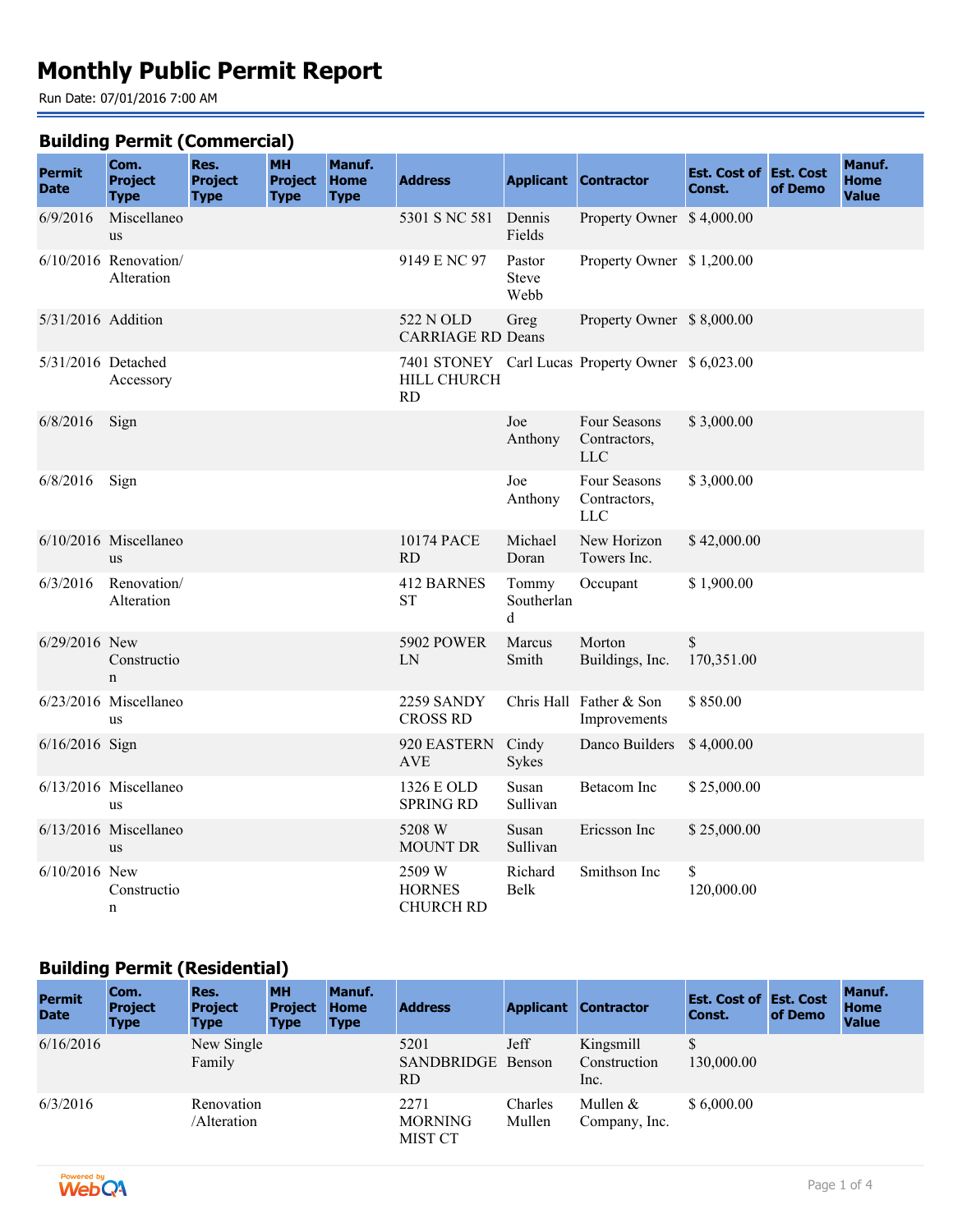# **Monthly Public Permit Report**

Run Date: 07/01/2016 7:00 AM

#### **Building Permit (Commercial)**

| <b>Permit</b>      | ------- <b>\</b><br>Com.<br><b>Project</b> | Res.<br><b>Project</b> | <b>MH</b><br><b>Project</b> | Manuf.<br><b>Home</b> | <b>Address</b>                              |                                | <b>Applicant Contractor</b>                      | <b>Est. Cost of Est. Cost</b> |         | Manuf.<br><b>Home</b> |
|--------------------|--------------------------------------------|------------------------|-----------------------------|-----------------------|---------------------------------------------|--------------------------------|--------------------------------------------------|-------------------------------|---------|-----------------------|
| <b>Date</b>        | <b>Type</b>                                | <b>Type</b>            | <b>Type</b>                 | <b>Type</b>           |                                             |                                |                                                  | Const.                        | of Demo | <b>Value</b>          |
| 6/9/2016           | Miscellaneo<br><b>us</b>                   |                        |                             |                       | 5301 S NC 581                               | Dennis<br>Fields               | Property Owner \$4,000.00                        |                               |         |                       |
|                    | $6/10/2016$ Renovation/<br>Alteration      |                        |                             |                       | 9149 E NC 97                                | Pastor<br><b>Steve</b><br>Webb | Property Owner \$1,200.00                        |                               |         |                       |
| 5/31/2016 Addition |                                            |                        |                             |                       | 522 N OLD<br><b>CARRIAGE RD Deans</b>       | Greg                           | Property Owner \$8,000.00                        |                               |         |                       |
| 5/31/2016 Detached | Accessory                                  |                        |                             |                       | HILL CHURCH<br><b>RD</b>                    |                                | 7401 STONEY Carl Lucas Property Owner \$6,023.00 |                               |         |                       |
| 6/8/2016           | Sign                                       |                        |                             |                       |                                             | Joe<br>Anthony                 | Four Seasons<br>Contractors,<br><b>LLC</b>       | \$3,000.00                    |         |                       |
| 6/8/2016           | Sign                                       |                        |                             |                       |                                             | Joe<br>Anthony                 | Four Seasons<br>Contractors,<br><b>LLC</b>       | \$3,000.00                    |         |                       |
|                    | 6/10/2016 Miscellaneo<br><b>us</b>         |                        |                             |                       | 10174 PACE<br><b>RD</b>                     | Michael<br>Doran               | New Horizon<br>Towers Inc.                       | \$42,000.00                   |         |                       |
| 6/3/2016           | Renovation/<br>Alteration                  |                        |                             |                       | <b>412 BARNES</b><br><b>ST</b>              | Tommy<br>Southerlan<br>d       | Occupant                                         | \$1,900.00                    |         |                       |
| $6/29/2016$ New    | Constructio<br>$\mathsf{n}$                |                        |                             |                       | <b>5902 POWER</b><br>LN                     | Marcus<br>Smith                | Morton<br>Buildings, Inc.                        | \$<br>170,351.00              |         |                       |
|                    | 6/23/2016 Miscellaneo<br><b>us</b>         |                        |                             |                       | 2259 SANDY<br><b>CROSS RD</b>               |                                | Chris Hall Father & Son<br>Improvements          | \$850.00                      |         |                       |
| 6/16/2016 Sign     |                                            |                        |                             |                       | 920 EASTERN<br><b>AVE</b>                   | Cindy<br>Sykes                 | Danco Builders                                   | \$4,000.00                    |         |                       |
|                    | 6/13/2016 Miscellaneo<br>us                |                        |                             |                       | 1326 E OLD<br><b>SPRING RD</b>              | Susan<br>Sullivan              | Betacom Inc                                      | \$25,000.00                   |         |                       |
|                    | 6/13/2016 Miscellaneo<br><b>us</b>         |                        |                             |                       | 5208 W<br><b>MOUNT DR</b>                   | Susan<br>Sullivan              | Ericsson Inc                                     | \$25,000.00                   |         |                       |
| 6/10/2016 New      | Constructio<br>n                           |                        |                             |                       | 2509 W<br><b>HORNES</b><br><b>CHURCH RD</b> | Richard<br>Belk                | Smithson Inc                                     | \$<br>120,000.00              |         |                       |

## **Building Permit (Residential)**

| <b>Permit</b><br><b>Date</b> | Com.<br><b>Project</b><br>Type | Res.<br><b>Project</b><br><b>Type</b> | <b>MH</b><br><b>Project</b><br><b>Type</b> | Manuf.<br><b>Home</b><br><b>Type</b> | <b>Address</b>                           |                   | <b>Applicant Contractor</b>       | <b>Est. Cost of Est. Cost</b><br>Const. | of Demo | Manuf.<br><b>Home</b><br><b>Value</b> |
|------------------------------|--------------------------------|---------------------------------------|--------------------------------------------|--------------------------------------|------------------------------------------|-------------------|-----------------------------------|-----------------------------------------|---------|---------------------------------------|
| 6/16/2016                    |                                | New Single<br>Family                  |                                            |                                      | 5201<br>SANDBRIDGE Benson<br><b>RD</b>   | Jeff              | Kingsmill<br>Construction<br>Inc. | 130,000.00                              |         |                                       |
| 6/3/2016                     |                                | Renovation<br>/Alteration             |                                            |                                      | 2271<br><b>MORNING</b><br><b>MIST CT</b> | Charles<br>Mullen | Mullen $&$<br>Company, Inc.       | \$6,000,00                              |         |                                       |

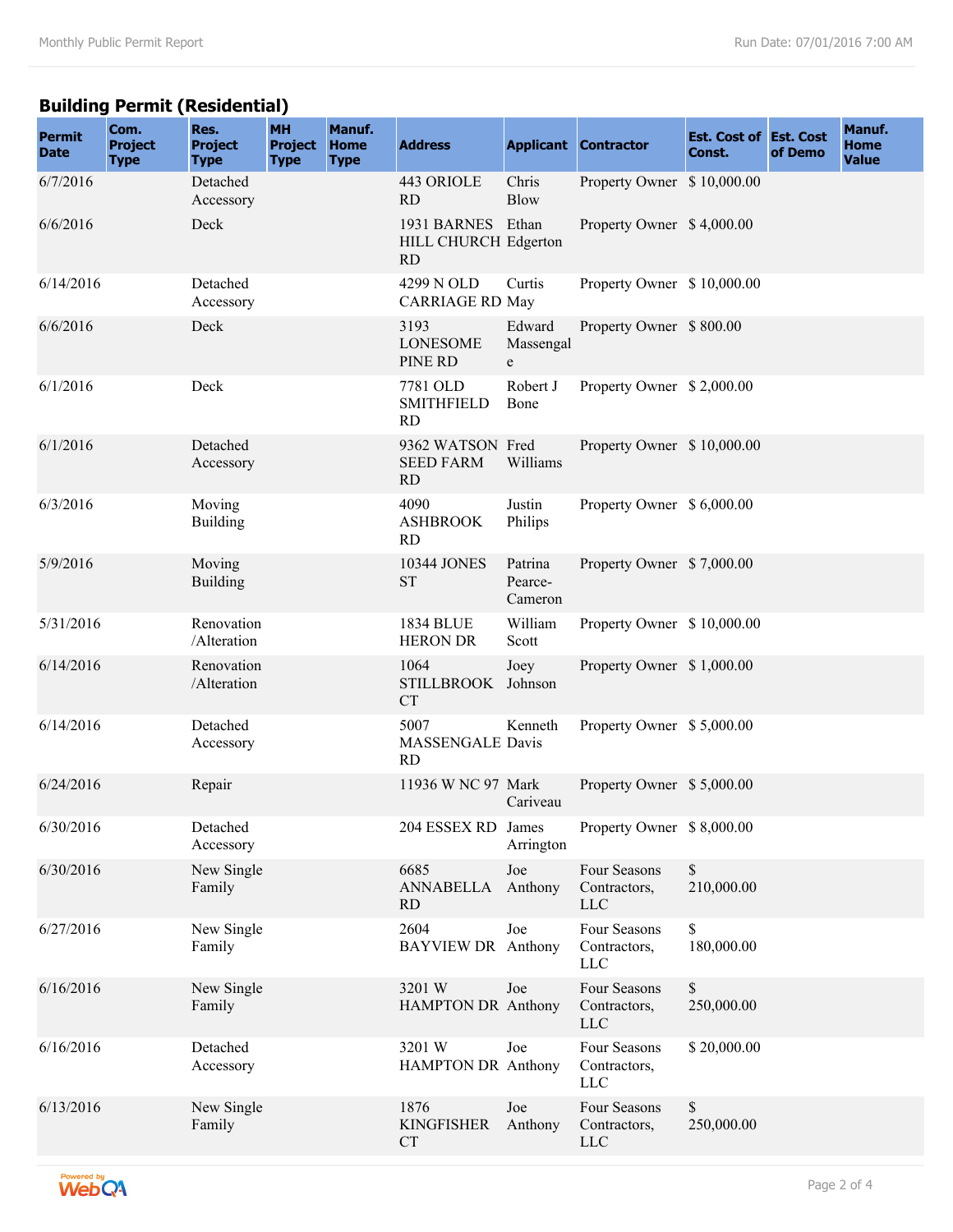# **Building Permit (Residential)**

| <b>Permit</b><br><b>Date</b> | Com.<br><b>Project</b><br><b>Type</b> | Res.<br><b>Project</b><br><b>Type</b> | <b>MH</b><br><b>Project</b><br><b>Type</b> | Manuf.<br><b>Home</b><br><b>Type</b> | <b>Address</b>                                    |                               | <b>Applicant Contractor</b>                | <b>Est. Cost of Est. Cost</b><br>Const. | of Demo | Manuf.<br><b>Home</b><br><b>Value</b> |
|------------------------------|---------------------------------------|---------------------------------------|--------------------------------------------|--------------------------------------|---------------------------------------------------|-------------------------------|--------------------------------------------|-----------------------------------------|---------|---------------------------------------|
| 6/7/2016                     |                                       | Detached<br>Accessory                 |                                            |                                      | 443 ORIOLE<br><b>RD</b>                           | Chris<br><b>Blow</b>          | Property Owner \$10,000.00                 |                                         |         |                                       |
| 6/6/2016                     |                                       | Deck                                  |                                            |                                      | 1931 BARNES<br>HILL CHURCH Edgerton<br><b>RD</b>  | Ethan                         | Property Owner \$4,000.00                  |                                         |         |                                       |
| 6/14/2016                    |                                       | Detached<br>Accessory                 |                                            |                                      | 4299 N OLD<br><b>CARRIAGE RD May</b>              | Curtis                        | Property Owner \$10,000.00                 |                                         |         |                                       |
| 6/6/2016                     |                                       | Deck                                  |                                            |                                      | 3193<br><b>LONESOME</b><br>PINE RD                | Edward<br>Massengal<br>e      | Property Owner \$800.00                    |                                         |         |                                       |
| 6/1/2016                     |                                       | Deck                                  |                                            |                                      | 7781 OLD<br><b>SMITHFIELD</b><br><b>RD</b>        | Robert J<br>Bone              | Property Owner \$2,000.00                  |                                         |         |                                       |
| 6/1/2016                     |                                       | Detached<br>Accessory                 |                                            |                                      | 9362 WATSON Fred<br><b>SEED FARM</b><br><b>RD</b> | Williams                      | Property Owner \$10,000.00                 |                                         |         |                                       |
| 6/3/2016                     |                                       | Moving<br><b>Building</b>             |                                            |                                      | 4090<br><b>ASHBROOK</b><br><b>RD</b>              | Justin<br>Philips             | Property Owner \$ 6,000.00                 |                                         |         |                                       |
| 5/9/2016                     |                                       | Moving<br><b>Building</b>             |                                            |                                      | 10344 JONES<br><b>ST</b>                          | Patrina<br>Pearce-<br>Cameron | Property Owner \$7,000.00                  |                                         |         |                                       |
| 5/31/2016                    |                                       | Renovation<br>/Alteration             |                                            |                                      | <b>1834 BLUE</b><br><b>HERON DR</b>               | William<br>Scott              | Property Owner \$10,000.00                 |                                         |         |                                       |
| 6/14/2016                    |                                       | Renovation<br>/Alteration             |                                            |                                      | 1064<br><b>STILLBROOK</b><br><b>CT</b>            | Joey<br>Johnson               | Property Owner \$1,000.00                  |                                         |         |                                       |
| 6/14/2016                    |                                       | Detached<br>Accessory                 |                                            |                                      | 5007<br><b>MASSENGALE Davis</b><br><b>RD</b>      | Kenneth                       | Property Owner \$5,000.00                  |                                         |         |                                       |
| 6/24/2016                    |                                       | Repair                                |                                            |                                      | 11936 W NC 97 Mark                                | Cariveau                      | Property Owner \$5,000.00                  |                                         |         |                                       |
| 6/30/2016                    |                                       | Detached<br>Accessory                 |                                            |                                      | 204 ESSEX RD James                                | Arrington                     | Property Owner \$8,000.00                  |                                         |         |                                       |
| 6/30/2016                    |                                       | New Single<br>Family                  |                                            |                                      | 6685<br>ANNABELLA<br><b>RD</b>                    | Joe<br>Anthony                | Four Seasons<br>Contractors,<br><b>LLC</b> | \$<br>210,000.00                        |         |                                       |
| 6/27/2016                    |                                       | New Single<br>Family                  |                                            |                                      | 2604<br><b>BAYVIEW DR</b> Anthony                 | Joe                           | Four Seasons<br>Contractors,<br><b>LLC</b> | \$<br>180,000.00                        |         |                                       |
| 6/16/2016                    |                                       | New Single<br>Family                  |                                            |                                      | 3201 W<br>HAMPTON DR Anthony                      | Joe                           | Four Seasons<br>Contractors,<br><b>LLC</b> | \$<br>250,000.00                        |         |                                       |
| 6/16/2016                    |                                       | Detached<br>Accessory                 |                                            |                                      | 3201 W<br>HAMPTON DR Anthony                      | Joe                           | Four Seasons<br>Contractors,<br><b>LLC</b> | \$20,000.00                             |         |                                       |
| 6/13/2016                    |                                       | New Single<br>Family                  |                                            |                                      | 1876<br><b>KINGFISHER</b><br><b>CT</b>            | Joe<br>Anthony                | Four Seasons<br>Contractors,<br><b>LLC</b> | $\mathbb S$<br>250,000.00               |         |                                       |

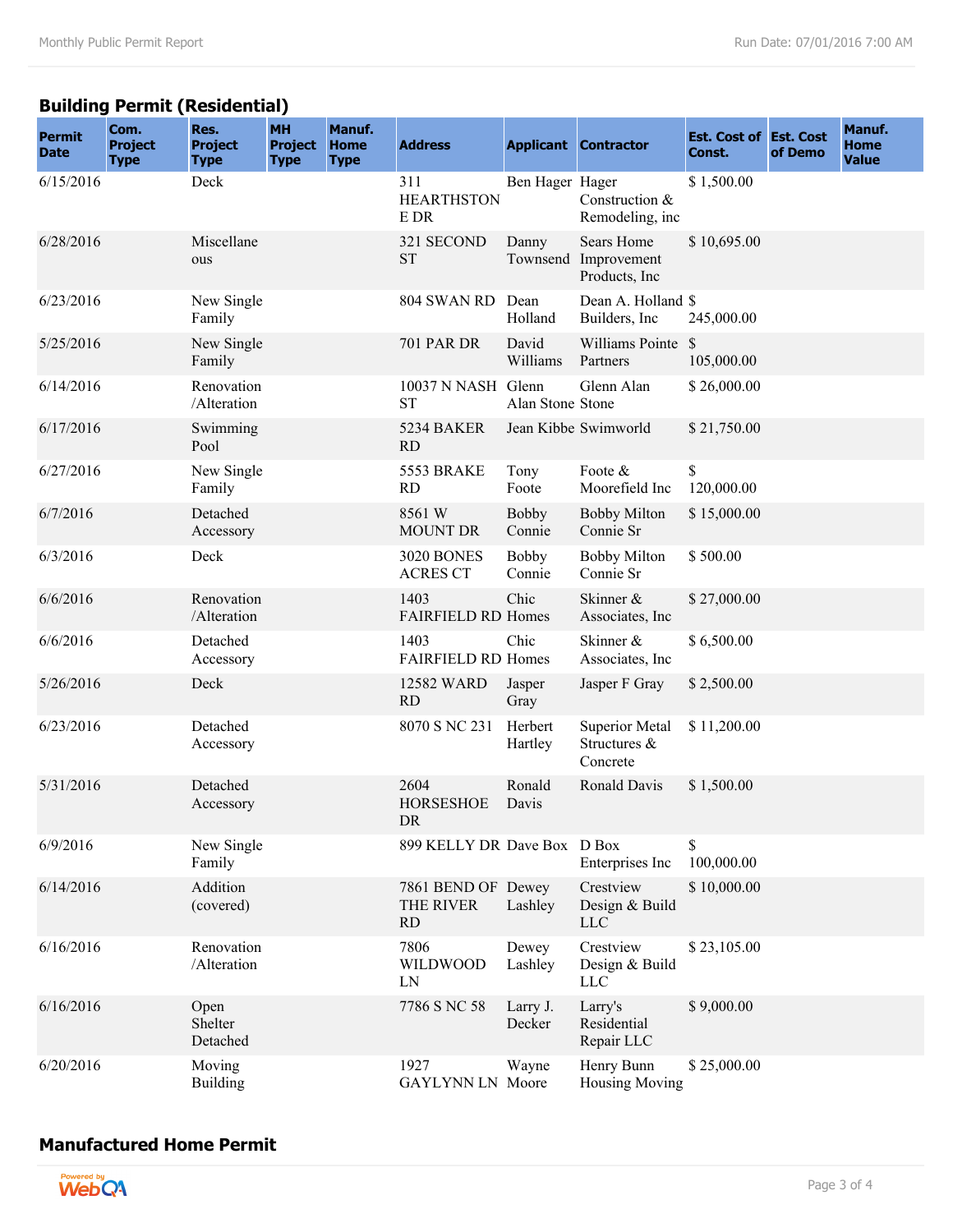# **Building Permit (Residential)**

| <b>Permit</b><br><b>Date</b> | Com.<br><b>Project</b><br><b>Type</b> | Res.<br><b>Project</b><br><b>Type</b> | <b>MH</b><br><b>Project</b><br><b>Type</b> | Manuf.<br><b>Home</b><br><b>Type</b> | <b>Address</b>                               |                        | <b>Applicant Contractor</b>                | <b>Est. Cost of Est. Cost</b><br>Const. | of Demo | Manuf.<br><b>Home</b><br><b>Value</b> |
|------------------------------|---------------------------------------|---------------------------------------|--------------------------------------------|--------------------------------------|----------------------------------------------|------------------------|--------------------------------------------|-----------------------------------------|---------|---------------------------------------|
| 6/15/2016                    |                                       | Deck                                  |                                            |                                      | 311<br><b>HEARTHSTON</b><br>E DR             | Ben Hager Hager        | Construction &<br>Remodeling, inc          | \$1,500.00                              |         |                                       |
| 6/28/2016                    |                                       | Miscellane<br>ous                     |                                            |                                      | 321 SECOND<br><b>ST</b>                      | Danny<br>Townsend      | Sears Home<br>Improvement<br>Products, Inc | \$10,695.00                             |         |                                       |
| 6/23/2016                    |                                       | New Single<br>Family                  |                                            |                                      | 804 SWAN RD                                  | Dean<br>Holland        | Dean A. Holland \$<br>Builders, Inc.       | 245,000.00                              |         |                                       |
| 5/25/2016                    |                                       | New Single<br>Family                  |                                            |                                      | <b>701 PAR DR</b>                            | David<br>Williams      | Williams Pointe \$<br>Partners             | 105,000.00                              |         |                                       |
| 6/14/2016                    |                                       | Renovation<br>/Alteration             |                                            |                                      | 10037 N NASH Glenn<br><b>ST</b>              | Alan Stone Stone       | Glenn Alan                                 | \$26,000.00                             |         |                                       |
| 6/17/2016                    |                                       | Swimming<br>Pool                      |                                            |                                      | 5234 BAKER<br><b>RD</b>                      |                        | Jean Kibbe Swimworld                       | \$21,750.00                             |         |                                       |
| 6/27/2016                    |                                       | New Single<br>Family                  |                                            |                                      | 5553 BRAKE<br><b>RD</b>                      | Tony<br>Foote          | Foote &<br>Moorefield Inc                  | \$<br>120,000.00                        |         |                                       |
| 6/7/2016                     |                                       | Detached<br>Accessory                 |                                            |                                      | 8561 W<br><b>MOUNT DR</b>                    | <b>Bobby</b><br>Connie | <b>Bobby Milton</b><br>Connie Sr           | \$15,000.00                             |         |                                       |
| 6/3/2016                     |                                       | Deck                                  |                                            |                                      | <b>3020 BONES</b><br><b>ACRES CT</b>         | Bobby<br>Connie        | <b>Bobby Milton</b><br>Connie Sr           | \$500.00                                |         |                                       |
| 6/6/2016                     |                                       | Renovation<br>/Alteration             |                                            |                                      | 1403<br><b>FAIRFIELD RD Homes</b>            | Chic                   | Skinner &<br>Associates, Inc               | \$27,000.00                             |         |                                       |
| 6/6/2016                     |                                       | Detached<br>Accessory                 |                                            |                                      | 1403<br><b>FAIRFIELD RD Homes</b>            | Chic                   | Skinner &<br>Associates, Inc               | \$6,500.00                              |         |                                       |
| 5/26/2016                    |                                       | Deck                                  |                                            |                                      | 12582 WARD<br><b>RD</b>                      | Jasper<br>Gray         | Jasper F Gray                              | \$2,500.00                              |         |                                       |
| 6/23/2016                    |                                       | Detached<br>Accessory                 |                                            |                                      | 8070 S NC 231                                | Herbert<br>Hartley     | Superior Metal<br>Structures &<br>Concrete | \$11,200.00                             |         |                                       |
| 5/31/2016                    |                                       | Detached<br>Accessory                 |                                            |                                      | 2604<br><b>HORSESHOE</b><br>DR               | Ronald<br>Davis        | <b>Ronald Davis</b>                        | \$1,500.00                              |         |                                       |
| 6/9/2016                     |                                       | New Single<br>Family                  |                                            |                                      | 899 KELLY DR Dave Box D Box                  |                        | Enterprises Inc                            | \$<br>100,000.00                        |         |                                       |
| 6/14/2016                    |                                       | Addition<br>(covered)                 |                                            |                                      | 7861 BEND OF Dewey<br>THE RIVER<br><b>RD</b> | Lashley                | Crestview<br>Design & Build<br><b>LLC</b>  | \$10,000.00                             |         |                                       |
| 6/16/2016                    |                                       | Renovation<br>/Alteration             |                                            |                                      | 7806<br>WILDWOOD<br>LN                       | Dewey<br>Lashley       | Crestview<br>Design & Build<br><b>LLC</b>  | \$23,105.00                             |         |                                       |
| 6/16/2016                    |                                       | Open<br>Shelter<br>Detached           |                                            |                                      | 7786 S NC 58                                 | Larry J.<br>Decker     | Larry's<br>Residential<br>Repair LLC       | \$9,000.00                              |         |                                       |
| 6/20/2016                    |                                       | Moving<br><b>Building</b>             |                                            |                                      | 1927<br>GAYLYNN LN Moore                     | Wayne                  | Henry Bunn<br><b>Housing Moving</b>        | \$25,000.00                             |         |                                       |

### **Manufactured Home Permit**